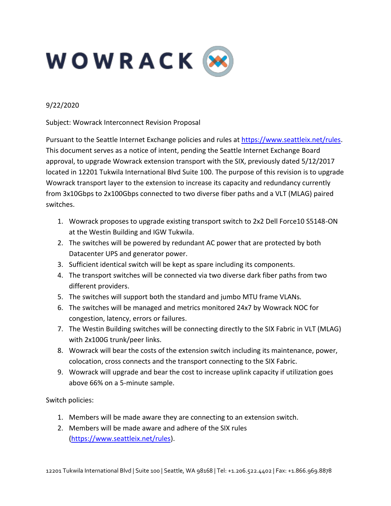

## 9/22/2020

Subject: Wowrack Interconnect Revision Proposal

Pursuant to the Seattle Internet Exchange policies and rules at https://www.seattleix.net/rules. This document serves as a notice of intent, pending the Seattle Internet Exchange Board approval, to upgrade Wowrack extension transport with the SIX, previously dated 5/12/2017 located in 12201 Tukwila International Blvd Suite 100. The purpose of this revision is to upgrade Wowrack transport layer to the extension to increase its capacity and redundancy currently from 3x10Gbps to 2x100Gbps connected to two diverse fiber paths and a VLT (MLAG) paired switches.

- 1. Wowrack proposes to upgrade existing transport switch to 2x2 Dell Force10 S5148-ON at the Westin Building and IGW Tukwila.
- 2. The switches will be powered by redundant AC power that are protected by both Datacenter UPS and generator power.
- 3. Sufficient identical switch will be kept as spare including its components.
- 4. The transport switches will be connected via two diverse dark fiber paths from two different providers.
- 5. The switches will support both the standard and jumbo MTU frame VLANs.
- 6. The switches will be managed and metrics monitored 24x7 by Wowrack NOC for congestion, latency, errors or failures.
- 7. The Westin Building switches will be connecting directly to the SIX Fabric in VLT (MLAG) with 2x100G trunk/peer links.
- 8. Wowrack will bear the costs of the extension switch including its maintenance, power, colocation, cross connects and the transport connecting to the SIX Fabric.
- 9. Wowrack will upgrade and bear the cost to increase uplink capacity if utilization goes above 66% on a 5-minute sample.

Switch policies:

- 1. Members will be made aware they are connecting to an extension switch.
- 2. Members will be made aware and adhere of the SIX rules (https://www.seattleix.net/rules).